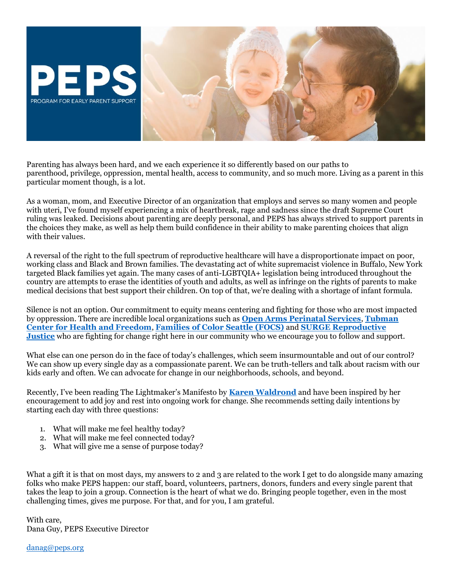

Parenting has always been hard, and we each experience it so differently based on our paths to parenthood, privilege, oppression, mental health, access to community, and so much more. Living as a parent in this particular moment though, is a lot.

As a woman, mom, and Executive Director of an organization that employs and serves so many women and people with uteri, I've found myself experiencing a mix of heartbreak, rage and sadness since the draft Supreme Court ruling was leaked. Decisions about parenting are deeply personal, and PEPS has always strived to support parents in the choices they make, as well as help them build confidence in their ability to make parenting choices that align with their values.

A reversal of the right to the full spectrum of reproductive healthcare will have a disproportionate impact on poor, working class and Black and Brown families. The devastating act of white supremacist violence in Buffalo, New York targeted Black families yet again. The many cases of anti-LGBTQIA+ legislation being introduced throughout the country are attempts to erase the identities of youth and adults, as well as infringe on the rights of parents to make medical decisions that best support their children. On top of that, we're dealing with a shortage of infant formula.

Silence is not an option. Our commitment to equity means centering and fighting for those who are most impacted by oppression. There are incredible local organizations such as **[Open Arms Perinatal Services](https://elink.clickdimensions.com/c/7/eyJhaSI6ODA0NzU5ODIsImUiOiJkYW5pZWxlbXJvemVrQGNvbWNhc3QubmV0IiwicmkiOiJjb250YWN0LTYyZTllZjYzNTZkN2VhMTFhODEzMDAwZDNhMzFlZDhkLWU4NmJjNmI4MDBiODRhZDA5Njg4MzUxNGIwODRjNzdlIiwicnEiOiIwMi1iMjIxNDMtODNjZGE5NjQxMzY0NDEyNWFiZDllMmJlMjg5MWNiZGMiLCJwaCI6bnVsbCwibSI6ZmFsc2UsInVpIjoiMiIsInVuIjoiIiwidSI6Imh0dHBzOi8vd3d3Lm9wZW5hcm1zcHMub3JnLz9fY2xkZWU9czhwMUZfM2Y1NE9uQlpLZGtLQVlBb1ZIZmV4ajNzVzdJZVoyanYzTFlEWHBtdi1nOWZfMU9BY2xZc3hmbXFpeiZyZWNpcGllbnRpZD1jb250YWN0LTYyZTllZjYzNTZkN2VhMTFhODEzMDAwZDNhMzFlZDhkLWU4NmJjNmI4MDBiODRhZDA5Njg4MzUxNGIwODRjNzdlJmVzaWQ9YTkwZGQxODctMTdkMi1lYzExLWE3YjUtMDAyMjQ4MGI0OGIyIn0/k-oUTvL9EpLTEV_jgLsZ5Q)**, **[Tubman](https://elink.clickdimensions.com/c/7/eyJhaSI6ODA0NzU5ODIsImUiOiJkYW5pZWxlbXJvemVrQGNvbWNhc3QubmV0IiwicmkiOiJjb250YWN0LTYyZTllZjYzNTZkN2VhMTFhODEzMDAwZDNhMzFlZDhkLWU4NmJjNmI4MDBiODRhZDA5Njg4MzUxNGIwODRjNzdlIiwicnEiOiIwMi1iMjIxNDMtODNjZGE5NjQxMzY0NDEyNWFiZDllMmJlMjg5MWNiZGMiLCJwaCI6bnVsbCwibSI6ZmFsc2UsInVpIjoiMyIsInVuIjoiIiwidSI6Imh0dHBzOi8vbmFtMTIuc2FmZWxpbmtzLnByb3RlY3Rpb24ub3V0bG9vay5jb20vP3VybD1odHRwcyUzQSUyRiUyRnR1Ym1hbmhlYWx0aC5vcmclMkYmZGF0YT0wNSU3QzAxJTdDJTdDNDdmYTA1MzBmYmYwNGFiNzBkZTEwOGRhMmZiOGE5MTElN0M4NGRmOWU3ZmU5ZjY0MGFmYjQzNWFhYWFhYWFhYWFhYSU3QzElN0MwJTdDNjM3ODc0NzY3NDAyMzcxNzg4JTdDVW5rbm93biU3Q1RXRnBiR1pzYjNkOGV5SldJam9pTUM0d0xqQXdNREFpTENKUUlqb2lWMmx1TXpJaUxDSkJUaUk2SWsxaGFXd2lMQ0pYVkNJNk1uMCUzRCU3QzMwMDAlN0MlN0MlN0Mmc2RhdGE9V0RnbDZwRmgxJTJGVUs3QWgxMXl2QXFkdFJtRm5hdVBuSmx6Ymw3cFc1Y0VnJTNEJnJlc2VydmVkPTAmX2NsZGVlPXM4cDFGXzNmNTRPbkJaS2RrS0FZQW9WSGZleGozc1c3SWVaMmp2M0xZRFhwbXYtZzlmXzFPQWNsWXN4Zm1xaXomcmVjaXBpZW50aWQ9Y29udGFjdC02MmU5ZWY2MzU2ZDdlYTExYTgxMzAwMGQzYTMxZWQ4ZC1lODZiYzZiODAwYjg0YWQwOTY4ODM1MTRiMDg0Yzc3ZSZlc2lkPWE5MGRkMTg3LTE3ZDItZWMxMS1hN2I1LTAwMjI0ODBiNDhiMiJ9/Bk5cOc-PZdD9gvg78jjKjA)  [Center for Health and Freedom](https://elink.clickdimensions.com/c/7/eyJhaSI6ODA0NzU5ODIsImUiOiJkYW5pZWxlbXJvemVrQGNvbWNhc3QubmV0IiwicmkiOiJjb250YWN0LTYyZTllZjYzNTZkN2VhMTFhODEzMDAwZDNhMzFlZDhkLWU4NmJjNmI4MDBiODRhZDA5Njg4MzUxNGIwODRjNzdlIiwicnEiOiIwMi1iMjIxNDMtODNjZGE5NjQxMzY0NDEyNWFiZDllMmJlMjg5MWNiZGMiLCJwaCI6bnVsbCwibSI6ZmFsc2UsInVpIjoiMyIsInVuIjoiIiwidSI6Imh0dHBzOi8vbmFtMTIuc2FmZWxpbmtzLnByb3RlY3Rpb24ub3V0bG9vay5jb20vP3VybD1odHRwcyUzQSUyRiUyRnR1Ym1hbmhlYWx0aC5vcmclMkYmZGF0YT0wNSU3QzAxJTdDJTdDNDdmYTA1MzBmYmYwNGFiNzBkZTEwOGRhMmZiOGE5MTElN0M4NGRmOWU3ZmU5ZjY0MGFmYjQzNWFhYWFhYWFhYWFhYSU3QzElN0MwJTdDNjM3ODc0NzY3NDAyMzcxNzg4JTdDVW5rbm93biU3Q1RXRnBiR1pzYjNkOGV5SldJam9pTUM0d0xqQXdNREFpTENKUUlqb2lWMmx1TXpJaUxDSkJUaUk2SWsxaGFXd2lMQ0pYVkNJNk1uMCUzRCU3QzMwMDAlN0MlN0MlN0Mmc2RhdGE9V0RnbDZwRmgxJTJGVUs3QWgxMXl2QXFkdFJtRm5hdVBuSmx6Ymw3cFc1Y0VnJTNEJnJlc2VydmVkPTAmX2NsZGVlPXM4cDFGXzNmNTRPbkJaS2RrS0FZQW9WSGZleGozc1c3SWVaMmp2M0xZRFhwbXYtZzlmXzFPQWNsWXN4Zm1xaXomcmVjaXBpZW50aWQ9Y29udGFjdC02MmU5ZWY2MzU2ZDdlYTExYTgxMzAwMGQzYTMxZWQ4ZC1lODZiYzZiODAwYjg0YWQwOTY4ODM1MTRiMDg0Yzc3ZSZlc2lkPWE5MGRkMTg3LTE3ZDItZWMxMS1hN2I1LTAwMjI0ODBiNDhiMiJ9/Bk5cOc-PZdD9gvg78jjKjA)**, **[Families of Color Seattle \(FOCS\)](https://elink.clickdimensions.com/c/7/eyJhaSI6ODA0NzU5ODIsImUiOiJkYW5pZWxlbXJvemVrQGNvbWNhc3QubmV0IiwicmkiOiJjb250YWN0LTYyZTllZjYzNTZkN2VhMTFhODEzMDAwZDNhMzFlZDhkLWU4NmJjNmI4MDBiODRhZDA5Njg4MzUxNGIwODRjNzdlIiwicnEiOiIwMi1iMjIxNDMtODNjZGE5NjQxMzY0NDEyNWFiZDllMmJlMjg5MWNiZGMiLCJwaCI6bnVsbCwibSI6ZmFsc2UsInVpIjoiNCIsInVuIjoiIiwidSI6Imh0dHBzOi8vd3d3LmZvY3NlYXR0bGUub3JnLz9fY2xkZWU9czhwMUZfM2Y1NE9uQlpLZGtLQVlBb1ZIZmV4ajNzVzdJZVoyanYzTFlEWHBtdi1nOWZfMU9BY2xZc3hmbXFpeiZyZWNpcGllbnRpZD1jb250YWN0LTYyZTllZjYzNTZkN2VhMTFhODEzMDAwZDNhMzFlZDhkLWU4NmJjNmI4MDBiODRhZDA5Njg4MzUxNGIwODRjNzdlJmVzaWQ9YTkwZGQxODctMTdkMi1lYzExLWE3YjUtMDAyMjQ4MGI0OGIyIn0/OWsx8UGrpDpXd4vO9CKgpg)** and **[SURGE Reproductive](https://elink.clickdimensions.com/c/7/eyJhaSI6ODA0NzU5ODIsImUiOiJkYW5pZWxlbXJvemVrQGNvbWNhc3QubmV0IiwicmkiOiJjb250YWN0LTYyZTllZjYzNTZkN2VhMTFhODEzMDAwZDNhMzFlZDhkLWU4NmJjNmI4MDBiODRhZDA5Njg4MzUxNGIwODRjNzdlIiwicnEiOiIwMi1iMjIxNDMtODNjZGE5NjQxMzY0NDEyNWFiZDllMmJlMjg5MWNiZGMiLCJwaCI6bnVsbCwibSI6ZmFsc2UsInVpIjoiNSIsInVuIjoiIiwidSI6Imh0dHBzOi8vbmFtMTIuc2FmZWxpbmtzLnByb3RlY3Rpb24ub3V0bG9vay5jb20vP3VybD1odHRwcyUzQSUyRiUyRnd3dy5zdXJnZXJlcHJvanVzdGljZS5vcmclMkYmZGF0YT0wNSU3QzAxJTdDJTdDNDdmYTA1MzBmYmYwNGFiNzBkZTEwOGRhMmZiOGE5MTElN0M4NGRmOWU3ZmU5ZjY0MGFmYjQzNWFhYWFhYWFhYWFhYSU3QzElN0MwJTdDNjM3ODc0NzY3NDAyMzcxNzg4JTdDVW5rbm93biU3Q1RXRnBiR1pzYjNkOGV5SldJam9pTUM0d0xqQXdNREFpTENKUUlqb2lWMmx1TXpJaUxDSkJUaUk2SWsxaGFXd2lMQ0pYVkNJNk1uMCUzRCU3QzMwMDAlN0MlN0MlN0Mmc2RhdGE9b1gwNVRzU0VCNmwwamVOOVdVdiUyQldWclNxZEFONjJmNVI5aHNLMUo4NHBnJTNEJnJlc2VydmVkPTAmX2NsZGVlPXM4cDFGXzNmNTRPbkJaS2RrS0FZQW9WSGZleGozc1c3SWVaMmp2M0xZRFhwbXYtZzlmXzFPQWNsWXN4Zm1xaXomcmVjaXBpZW50aWQ9Y29udGFjdC02MmU5ZWY2MzU2ZDdlYTExYTgxMzAwMGQzYTMxZWQ4ZC1lODZiYzZiODAwYjg0YWQwOTY4ODM1MTRiMDg0Yzc3ZSZlc2lkPWE5MGRkMTg3LTE3ZDItZWMxMS1hN2I1LTAwMjI0ODBiNDhiMiJ9/PxLfiwsIW610DnAdMe96vg)  [Justice](https://elink.clickdimensions.com/c/7/eyJhaSI6ODA0NzU5ODIsImUiOiJkYW5pZWxlbXJvemVrQGNvbWNhc3QubmV0IiwicmkiOiJjb250YWN0LTYyZTllZjYzNTZkN2VhMTFhODEzMDAwZDNhMzFlZDhkLWU4NmJjNmI4MDBiODRhZDA5Njg4MzUxNGIwODRjNzdlIiwicnEiOiIwMi1iMjIxNDMtODNjZGE5NjQxMzY0NDEyNWFiZDllMmJlMjg5MWNiZGMiLCJwaCI6bnVsbCwibSI6ZmFsc2UsInVpIjoiNSIsInVuIjoiIiwidSI6Imh0dHBzOi8vbmFtMTIuc2FmZWxpbmtzLnByb3RlY3Rpb24ub3V0bG9vay5jb20vP3VybD1odHRwcyUzQSUyRiUyRnd3dy5zdXJnZXJlcHJvanVzdGljZS5vcmclMkYmZGF0YT0wNSU3QzAxJTdDJTdDNDdmYTA1MzBmYmYwNGFiNzBkZTEwOGRhMmZiOGE5MTElN0M4NGRmOWU3ZmU5ZjY0MGFmYjQzNWFhYWFhYWFhYWFhYSU3QzElN0MwJTdDNjM3ODc0NzY3NDAyMzcxNzg4JTdDVW5rbm93biU3Q1RXRnBiR1pzYjNkOGV5SldJam9pTUM0d0xqQXdNREFpTENKUUlqb2lWMmx1TXpJaUxDSkJUaUk2SWsxaGFXd2lMQ0pYVkNJNk1uMCUzRCU3QzMwMDAlN0MlN0MlN0Mmc2RhdGE9b1gwNVRzU0VCNmwwamVOOVdVdiUyQldWclNxZEFONjJmNVI5aHNLMUo4NHBnJTNEJnJlc2VydmVkPTAmX2NsZGVlPXM4cDFGXzNmNTRPbkJaS2RrS0FZQW9WSGZleGozc1c3SWVaMmp2M0xZRFhwbXYtZzlmXzFPQWNsWXN4Zm1xaXomcmVjaXBpZW50aWQ9Y29udGFjdC02MmU5ZWY2MzU2ZDdlYTExYTgxMzAwMGQzYTMxZWQ4ZC1lODZiYzZiODAwYjg0YWQwOTY4ODM1MTRiMDg0Yzc3ZSZlc2lkPWE5MGRkMTg3LTE3ZDItZWMxMS1hN2I1LTAwMjI0ODBiNDhiMiJ9/PxLfiwsIW610DnAdMe96vg)** who are fighting for change right here in our community who we encourage you to follow and support.

What else can one person do in the face of today's challenges, which seem insurmountable and out of our control? We can show up every single day as a compassionate parent. We can be truth-tellers and talk about racism with our kids early and often. We can advocate for change in our neighborhoods, schools, and beyond.

Recently, I've been reading The Lightmaker's Manifesto by **[Karen Waldrond](https://elink.clickdimensions.com/c/7/eyJhaSI6ODA0NzU5ODIsImUiOiJkYW5pZWxlbXJvemVrQGNvbWNhc3QubmV0IiwicmkiOiJjb250YWN0LTYyZTllZjYzNTZkN2VhMTFhODEzMDAwZDNhMzFlZDhkLWU4NmJjNmI4MDBiODRhZDA5Njg4MzUxNGIwODRjNzdlIiwicnEiOiIwMi1iMjIxNDMtODNjZGE5NjQxMzY0NDEyNWFiZDllMmJlMjg5MWNiZGMiLCJwaCI6bnVsbCwibSI6ZmFsc2UsInVpIjoiNiIsInVuIjoiIiwidSI6Imh0dHA6Ly93d3cuY2hvb2tvb2xvb25rcy5jb20vP19jbGRlZT1zOHAxRl8zZjU0T25CWktka0tBWUFvVkhmZXhqM3NXN0llWjJqdjNMWURYcG12LWc5Zl8xT0FjbFlzeGZtcWl6JnJlY2lwaWVudGlkPWNvbnRhY3QtNjJlOWVmNjM1NmQ3ZWExMWE4MTMwMDBkM2EzMWVkOGQtZTg2YmM2YjgwMGI4NGFkMDk2ODgzNTE0YjA4NGM3N2UmZXNpZD1hOTBkZDE4Ny0xN2QyLWVjMTEtYTdiNS0wMDIyNDgwYjQ4YjIifQ/vedNYSxQ9Xm2wdAH6eVFjg)** and have been inspired by her encouragement to add joy and rest into ongoing work for change. She recommends setting daily intentions by starting each day with three questions:

- 1. What will make me feel healthy today?
- 2. What will make me feel connected today?
- 3. What will give me a sense of purpose today?

What a gift it is that on most days, my answers to 2 and 3 are related to the work I get to do alongside many amazing folks who make PEPS happen: our staff, board, volunteers, partners, donors, funders and every single parent that takes the leap to join a group. Connection is the heart of what we do. Bringing people together, even in the most challenging times, gives me purpose. For that, and for you, I am grateful.

With care, Dana Guy, PEPS Executive Director

[danag@peps.org](mailto:danag@peps.org)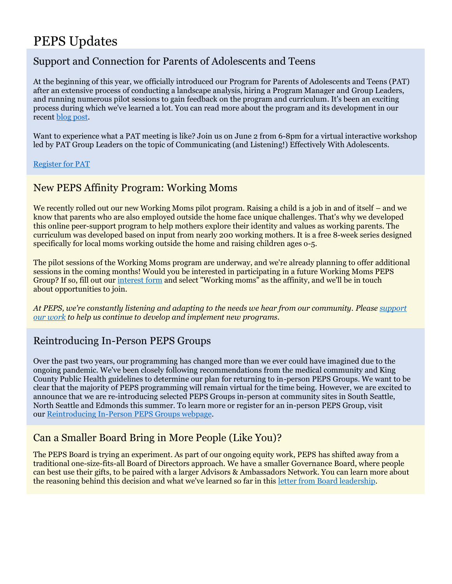## PEPS Updates

## Support and Connection for Parents of Adolescents and Teens

At the beginning of this year, we officially introduced our Program for Parents of Adolescents and Teens (PAT) after an extensive process of conducting a landscape analysis, hiring a Program Manager and Group Leaders, and running numerous pilot sessions to gain feedback on the program and curriculum. It's been an exciting process during which we've learned a lot. You can read more about the program and its development in our recent [blog post.](https://elink.clickdimensions.com/c/7/eyJhaSI6ODA0NzU5ODIsImUiOiJkYW5pZWxlbXJvemVrQGNvbWNhc3QubmV0IiwicmkiOiJjb250YWN0LTYyZTllZjYzNTZkN2VhMTFhODEzMDAwZDNhMzFlZDhkLWU4NmJjNmI4MDBiODRhZDA5Njg4MzUxNGIwODRjNzdlIiwicnEiOiIwMi1iMjIxNDMtODNjZGE5NjQxMzY0NDEyNWFiZDllMmJlMjg5MWNiZGMiLCJwaCI6bnVsbCwibSI6ZmFsc2UsInVpIjoiNyIsInVuIjoiIiwidSI6Imh0dHBzOi8vYmxvZy5wZXBzLm9yZy8yMDIyLzA0LzExL3BhcmVudHMtb2YtYWRvbGVzY2VudHMtYW5kLXRlZW5zLXN1cHBvcnQtYW5kLWNvbm5lY3Rpb24taXMtaGVyZS8_X2NsZGVlPXM4cDFGXzNmNTRPbkJaS2RrS0FZQW9WSGZleGozc1c3SWVaMmp2M0xZRFhwbXYtZzlmXzFPQWNsWXN4Zm1xaXomcmVjaXBpZW50aWQ9Y29udGFjdC02MmU5ZWY2MzU2ZDdlYTExYTgxMzAwMGQzYTMxZWQ4ZC1lODZiYzZiODAwYjg0YWQwOTY4ODM1MTRiMDg0Yzc3ZSZlc2lkPWE5MGRkMTg3LTE3ZDItZWMxMS1hN2I1LTAwMjI0ODBiNDhiMiJ9/_c08-ZGjE3dbvOQ9kI8pyw)

Want to experience what a PAT meeting is like? Join us on June 2 from 6-8pm for a virtual interactive workshop led by PAT Group Leaders on the topic of Communicating (and Listening!) Effectively With Adolescents.

[Register for PAT](https://www.peps.org/programs/parents-of-adolescents-and-teens)

## New PEPS Affinity Program: Working Moms

We recently rolled out our new Working Moms pilot program. Raising a child is a job in and of itself – and we know that parents who are also employed outside the home face unique challenges. That's why we developed this online peer-support program to help mothers explore their identity and values as working parents. The curriculum was developed based on input from nearly 200 working mothers. It is a free 8-week series designed specifically for local moms working outside the home and raising children ages o-5.

The pilot sessions of the Working Moms program are underway, and we're already planning to offer additional sessions in the coming months! Would you be interested in participating in a future Working Moms PEPS Group? If so, fill out our [interest form](https://elink.clickdimensions.com/c/7/eyJhaSI6ODA0NzU5ODIsImUiOiJkYW5pZWxlbXJvemVrQGNvbWNhc3QubmV0IiwicmkiOiJjb250YWN0LTYyZTllZjYzNTZkN2VhMTFhODEzMDAwZDNhMzFlZDhkLWU4NmJjNmI4MDBiODRhZDA5Njg4MzUxNGIwODRjNzdlIiwicnEiOiIwMi1iMjIxNDMtODNjZGE5NjQxMzY0NDEyNWFiZDllMmJlMjg5MWNiZGMiLCJwaCI6bnVsbCwibSI6ZmFsc2UsInVpIjoiMTAiLCJ1biI6IiIsInUiOiJodHRwczovL2FuYWx5dGljcy5jbGlja2RpbWVuc2lvbnMuY29tL2NuL2FrcHhyL0FmZmluaXR5SW50ZXJlc3RGb3JtP19jbGRlZT1zOHAxRl8zZjU0T25CWktka0tBWUFvVkhmZXhqM3NXN0llWjJqdjNMWURYcG12LWc5Zl8xT0FjbFlzeGZtcWl6JnJlY2lwaWVudGlkPWNvbnRhY3QtNjJlOWVmNjM1NmQ3ZWExMWE4MTMwMDBkM2EzMWVkOGQtZTg2YmM2YjgwMGI4NGFkMDk2ODgzNTE0YjA4NGM3N2UmZXNpZD1hOTBkZDE4Ny0xN2QyLWVjMTEtYTdiNS0wMDIyNDgwYjQ4YjIifQ/GWzicR9_tDx5qMbZiQjAgw) and select "Working moms" as the affinity, and we'll be in touch about opportunities to join.

*At PEPS, we're constantly listening and adapting to the needs we hear from our community. Please [support](https://elink.clickdimensions.com/c/7/eyJhaSI6ODA0NzU5ODIsImUiOiJkYW5pZWxlbXJvemVrQGNvbWNhc3QubmV0IiwicmkiOiJjb250YWN0LTYyZTllZjYzNTZkN2VhMTFhODEzMDAwZDNhMzFlZDhkLWU4NmJjNmI4MDBiODRhZDA5Njg4MzUxNGIwODRjNzdlIiwicnEiOiIwMi1iMjIxNDMtODNjZGE5NjQxMzY0NDEyNWFiZDllMmJlMjg5MWNiZGMiLCJwaCI6bnVsbCwibSI6ZmFsc2UsInVpIjoiMTEiLCJ1biI6IiIsInUiOiJodHRwczovL3d3dy53YWdpdmVzLm9yZy9vcmdhbml6YXRpb24vUHJvZ3JhbS1Gb3ItRWFybHktUGFyZW50LVN1cHBvcnQ_X2NsZGVlPXM4cDFGXzNmNTRPbkJaS2RrS0FZQW9WSGZleGozc1c3SWVaMmp2M0xZRFhwbXYtZzlmXzFPQWNsWXN4Zm1xaXomcmVjaXBpZW50aWQ9Y29udGFjdC02MmU5ZWY2MzU2ZDdlYTExYTgxMzAwMGQzYTMxZWQ4ZC1lODZiYzZiODAwYjg0YWQwOTY4ODM1MTRiMDg0Yzc3ZSZlc2lkPWE5MGRkMTg3LTE3ZDItZWMxMS1hN2I1LTAwMjI0ODBiNDhiMiJ9/Z9hK8r43ACZnC5Z0d72vqg)  [our work](https://elink.clickdimensions.com/c/7/eyJhaSI6ODA0NzU5ODIsImUiOiJkYW5pZWxlbXJvemVrQGNvbWNhc3QubmV0IiwicmkiOiJjb250YWN0LTYyZTllZjYzNTZkN2VhMTFhODEzMDAwZDNhMzFlZDhkLWU4NmJjNmI4MDBiODRhZDA5Njg4MzUxNGIwODRjNzdlIiwicnEiOiIwMi1iMjIxNDMtODNjZGE5NjQxMzY0NDEyNWFiZDllMmJlMjg5MWNiZGMiLCJwaCI6bnVsbCwibSI6ZmFsc2UsInVpIjoiMTEiLCJ1biI6IiIsInUiOiJodHRwczovL3d3dy53YWdpdmVzLm9yZy9vcmdhbml6YXRpb24vUHJvZ3JhbS1Gb3ItRWFybHktUGFyZW50LVN1cHBvcnQ_X2NsZGVlPXM4cDFGXzNmNTRPbkJaS2RrS0FZQW9WSGZleGozc1c3SWVaMmp2M0xZRFhwbXYtZzlmXzFPQWNsWXN4Zm1xaXomcmVjaXBpZW50aWQ9Y29udGFjdC02MmU5ZWY2MzU2ZDdlYTExYTgxMzAwMGQzYTMxZWQ4ZC1lODZiYzZiODAwYjg0YWQwOTY4ODM1MTRiMDg0Yzc3ZSZlc2lkPWE5MGRkMTg3LTE3ZDItZWMxMS1hN2I1LTAwMjI0ODBiNDhiMiJ9/Z9hK8r43ACZnC5Z0d72vqg) to help us continue to develop and implement new programs.*

## Reintroducing In-Person PEPS Groups

Over the past two years, our programming has changed more than we ever could have imagined due to the ongoing pandemic. We've been closely following recommendations from the medical community and King County Public Health guidelines to determine our plan for returning to in-person PEPS Groups. We want to be clear that the majority of PEPS programming will remain virtual for the time being. However, we are excited to announce that we are re-introducing selected PEPS Groups in-person at community sites in South Seattle, North Seattle and Edmonds this summer. To learn more or register for an in-person PEPS Group, visit our [Reintroducing In-Person PEPS Groups webpage.](https://elink.clickdimensions.com/c/7/eyJhaSI6ODA0NzU5ODIsImUiOiJkYW5pZWxlbXJvemVrQGNvbWNhc3QubmV0IiwicmkiOiJjb250YWN0LTYyZTllZjYzNTZkN2VhMTFhODEzMDAwZDNhMzFlZDhkLWU4NmJjNmI4MDBiODRhZDA5Njg4MzUxNGIwODRjNzdlIiwicnEiOiIwMi1iMjIxNDMtODNjZGE5NjQxMzY0NDEyNWFiZDllMmJlMjg5MWNiZGMiLCJwaCI6bnVsbCwibSI6ZmFsc2UsInVpIjoiMTIiLCJ1biI6IiIsInUiOiJodHRwczovL3d3dy5wZXBzLm9yZy9wcm9ncmFtcy9pbi1wZXJzb24tZ3JvdXBzP19jbGRlZT1zOHAxRl8zZjU0T25CWktka0tBWUFvVkhmZXhqM3NXN0llWjJqdjNMWURYcG12LWc5Zl8xT0FjbFlzeGZtcWl6JnJlY2lwaWVudGlkPWNvbnRhY3QtNjJlOWVmNjM1NmQ3ZWExMWE4MTMwMDBkM2EzMWVkOGQtZTg2YmM2YjgwMGI4NGFkMDk2ODgzNTE0YjA4NGM3N2UmZXNpZD1hOTBkZDE4Ny0xN2QyLWVjMTEtYTdiNS0wMDIyNDgwYjQ4YjIifQ/aLruwBg2FTKVIcgiWNGkhA)

## Can a Smaller Board Bring in More People (Like You)?

The PEPS Board is trying an experiment. As part of our ongoing equity work, PEPS has shifted away from a traditional one-size-fits-all Board of Directors approach. We have a smaller Governance Board, where people can best use their gifts, to be paired with a larger Advisors & Ambassadors Network. You can learn more about the reasoning behind this decision and what we've learned so far in this [letter from Board leadership.](https://elink.clickdimensions.com/c/7/eyJhaSI6ODA0NzU5ODIsImUiOiJkYW5pZWxlbXJvemVrQGNvbWNhc3QubmV0IiwicmkiOiJjb250YWN0LTYyZTllZjYzNTZkN2VhMTFhODEzMDAwZDNhMzFlZDhkLWU4NmJjNmI4MDBiODRhZDA5Njg4MzUxNGIwODRjNzdlIiwicnEiOiIwMi1iMjIxNDMtODNjZGE5NjQxMzY0NDEyNWFiZDllMmJlMjg5MWNiZGMiLCJwaCI6bnVsbCwibSI6ZmFsc2UsInVpIjoiMTUiLCJ1biI6IiIsInUiOiJodHRwczovL3d3dy5wZXBzLm9yZy9hYm91dC9uZXdzL2Nhbi1hLXNtYWxsZXItYm9hcmQtYnJpbmctaW4tbW9yZS1wZW9wbGUtbGlrZS15b3U_X2NsZGVlPXM4cDFGXzNmNTRPbkJaS2RrS0FZQW9WSGZleGozc1c3SWVaMmp2M0xZRFhwbXYtZzlmXzFPQWNsWXN4Zm1xaXomcmVjaXBpZW50aWQ9Y29udGFjdC02MmU5ZWY2MzU2ZDdlYTExYTgxMzAwMGQzYTMxZWQ4ZC1lODZiYzZiODAwYjg0YWQwOTY4ODM1MTRiMDg0Yzc3ZSZlc2lkPWE5MGRkMTg3LTE3ZDItZWMxMS1hN2I1LTAwMjI0ODBiNDhiMiJ9/B5DK3WvmtiCLeHONDfWt5Q)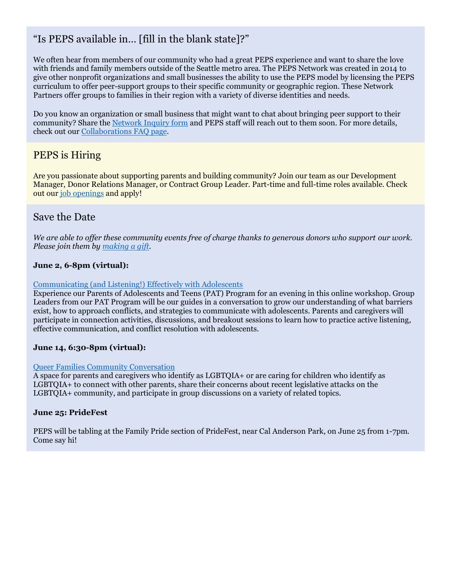## "Is PEPS available in… [fill in the blank state]?"

We often hear from members of our community who had a great PEPS experience and want to share the love with friends and family members outside of the Seattle metro area. The PEPS Network was created in 2014 to give other nonprofit organizations and small businesses the ability to use the PEPS model by licensing the PEPS curriculum to offer peer-support groups to their specific community or geographic region. These Network Partners offer groups to families in their region with a variety of diverse identities and needs.

Do you know an organization or small business that might want to chat about bringing peer support to their community? Share the [Network Inquiry form](https://elink.clickdimensions.com/c/7/eyJhaSI6ODA0NzU5ODIsImUiOiJkYW5pZWxlbXJvemVrQGNvbWNhc3QubmV0IiwicmkiOiJjb250YWN0LTYyZTllZjYzNTZkN2VhMTFhODEzMDAwZDNhMzFlZDhkLWU4NmJjNmI4MDBiODRhZDA5Njg4MzUxNGIwODRjNzdlIiwicnEiOiIwMi1iMjIxNDMtODNjZGE5NjQxMzY0NDEyNWFiZDllMmJlMjg5MWNiZGMiLCJwaCI6bnVsbCwibSI6ZmFsc2UsInVpIjoiMTYiLCJ1biI6IiIsInUiOiJodHRwczovL2FuYWx5dGljcy5jbGlja2RpbWVuc2lvbnMuY29tL2NuL2FrcHhyL05ldHdvcmtGb3JtP19jbGRlZT1zOHAxRl8zZjU0T25CWktka0tBWUFvVkhmZXhqM3NXN0llWjJqdjNMWURYcG12LWc5Zl8xT0FjbFlzeGZtcWl6JnJlY2lwaWVudGlkPWNvbnRhY3QtNjJlOWVmNjM1NmQ3ZWExMWE4MTMwMDBkM2EzMWVkOGQtZTg2YmM2YjgwMGI4NGFkMDk2ODgzNTE0YjA4NGM3N2UmZXNpZD1hOTBkZDE4Ny0xN2QyLWVjMTEtYTdiNS0wMDIyNDgwYjQ4YjIifQ/OB81Ci50TlAPM83fLWa46w) and PEPS staff will reach out to them soon. For more details, check out our [Collaborations FAQ page.](https://elink.clickdimensions.com/c/7/eyJhaSI6ODA0NzU5ODIsImUiOiJkYW5pZWxlbXJvemVrQGNvbWNhc3QubmV0IiwicmkiOiJjb250YWN0LTYyZTllZjYzNTZkN2VhMTFhODEzMDAwZDNhMzFlZDhkLWU4NmJjNmI4MDBiODRhZDA5Njg4MzUxNGIwODRjNzdlIiwicnEiOiIwMi1iMjIxNDMtODNjZGE5NjQxMzY0NDEyNWFiZDllMmJlMjg5MWNiZGMiLCJwaCI6bnVsbCwibSI6ZmFsc2UsInVpIjoiMTciLCJ1biI6IiIsInUiOiJodHRwczovL3d3dy5wZXBzLm9yZy9jb2xsYWJvcmF0aW9ucy9jb2xsYWJvcmF0aW9ucy1mYXE_X2NsZGVlPXM4cDFGXzNmNTRPbkJaS2RrS0FZQW9WSGZleGozc1c3SWVaMmp2M0xZRFhwbXYtZzlmXzFPQWNsWXN4Zm1xaXomcmVjaXBpZW50aWQ9Y29udGFjdC02MmU5ZWY2MzU2ZDdlYTExYTgxMzAwMGQzYTMxZWQ4ZC1lODZiYzZiODAwYjg0YWQwOTY4ODM1MTRiMDg0Yzc3ZSZlc2lkPWE5MGRkMTg3LTE3ZDItZWMxMS1hN2I1LTAwMjI0ODBiNDhiMiJ9/fxdeJCzMuDWKcbvHvdF_nw)

## PEPS is Hiring

Are you passionate about supporting parents and building community? Join our team as our Development Manager, Donor Relations Manager, or Contract Group Leader. Part-time and full-time roles available. Check out our [job openings](https://elink.clickdimensions.com/c/7/eyJhaSI6ODA0NzU5ODIsImUiOiJkYW5pZWxlbXJvemVrQGNvbWNhc3QubmV0IiwicmkiOiJjb250YWN0LTYyZTllZjYzNTZkN2VhMTFhODEzMDAwZDNhMzFlZDhkLWU4NmJjNmI4MDBiODRhZDA5Njg4MzUxNGIwODRjNzdlIiwicnEiOiIwMi1iMjIxNDMtODNjZGE5NjQxMzY0NDEyNWFiZDllMmJlMjg5MWNiZGMiLCJwaCI6bnVsbCwibSI6ZmFsc2UsInVpIjoiMjAiLCJ1biI6IiIsInUiOiJodHRwczovL3d3dy5wZXBzLm9yZy9hYm91dC9qb2JzP19jbGRlZT1zOHAxRl8zZjU0T25CWktka0tBWUFvVkhmZXhqM3NXN0llWjJqdjNMWURYcG12LWc5Zl8xT0FjbFlzeGZtcWl6JnJlY2lwaWVudGlkPWNvbnRhY3QtNjJlOWVmNjM1NmQ3ZWExMWE4MTMwMDBkM2EzMWVkOGQtZTg2YmM2YjgwMGI4NGFkMDk2ODgzNTE0YjA4NGM3N2UmZXNpZD1hOTBkZDE4Ny0xN2QyLWVjMTEtYTdiNS0wMDIyNDgwYjQ4YjIifQ/vhe96LaHaGisaZEogYTY3w) and apply!

### Save the Date

*We are able to offer these community events free of charge thanks to generous donors who support our work. Please join them by [making a gift.](https://elink.clickdimensions.com/c/7/eyJhaSI6ODA0NzU5ODIsImUiOiJkYW5pZWxlbXJvemVrQGNvbWNhc3QubmV0IiwicmkiOiJjb250YWN0LTYyZTllZjYzNTZkN2VhMTFhODEzMDAwZDNhMzFlZDhkLWU4NmJjNmI4MDBiODRhZDA5Njg4MzUxNGIwODRjNzdlIiwicnEiOiIwMi1iMjIxNDMtODNjZGE5NjQxMzY0NDEyNWFiZDllMmJlMjg5MWNiZGMiLCJwaCI6bnVsbCwibSI6ZmFsc2UsInVpIjoiMjEiLCJ1biI6IiIsInUiOiJodHRwczovL3d3dy53YWdpdmVzLm9yZy9vcmdhbml6YXRpb24vUHJvZ3JhbS1Gb3ItRWFybHktUGFyZW50LVN1cHBvcnQ_X2NsZGVlPXM4cDFGXzNmNTRPbkJaS2RrS0FZQW9WSGZleGozc1c3SWVaMmp2M0xZRFhwbXYtZzlmXzFPQWNsWXN4Zm1xaXomcmVjaXBpZW50aWQ9Y29udGFjdC02MmU5ZWY2MzU2ZDdlYTExYTgxMzAwMGQzYTMxZWQ4ZC1lODZiYzZiODAwYjg0YWQwOTY4ODM1MTRiMDg0Yzc3ZSZlc2lkPWE5MGRkMTg3LTE3ZDItZWMxMS1hN2I1LTAwMjI0ODBiNDhiMiJ9/2I_QI9HHEZKqtduRFd-X_Q)*

#### **June 2, 6-8pm (virtual):**

#### [Communicating \(and Listening!\) Effectively with Adolescents](https://elink.clickdimensions.com/c/7/eyJhaSI6ODA0NzU5ODIsImUiOiJkYW5pZWxlbXJvemVrQGNvbWNhc3QubmV0IiwicmkiOiJjb250YWN0LTYyZTllZjYzNTZkN2VhMTFhODEzMDAwZDNhMzFlZDhkLWU4NmJjNmI4MDBiODRhZDA5Njg4MzUxNGIwODRjNzdlIiwicnEiOiIwMi1iMjIxNDMtODNjZGE5NjQxMzY0NDEyNWFiZDllMmJlMjg5MWNiZGMiLCJwaCI6bnVsbCwibSI6ZmFsc2UsInVpIjoiMjIiLCJ1biI6IiIsInUiOiJodHRwczovL3d3dy5wZXBzLm9yZy9QYXJlbnRSZXNvdXJjZXMvY29tbXVuaXR5LWV2ZW50cy9jb21tdW5pY2F0aW5nLWFuZC1saXN0ZW5pbmctZWZmZWN0aXZlbHktd2l0aC1hZG9sZXNjZW50cz9fY2xkZWU9czhwMUZfM2Y1NE9uQlpLZGtLQVlBb1ZIZmV4ajNzVzdJZVoyanYzTFlEWHBtdi1nOWZfMU9BY2xZc3hmbXFpeiZyZWNpcGllbnRpZD1jb250YWN0LTYyZTllZjYzNTZkN2VhMTFhODEzMDAwZDNhMzFlZDhkLWU4NmJjNmI4MDBiODRhZDA5Njg4MzUxNGIwODRjNzdlJmVzaWQ9YTkwZGQxODctMTdkMi1lYzExLWE3YjUtMDAyMjQ4MGI0OGIyIn0/1svO95RkguGivFVTvNFD8Q)

Experience our Parents of Adolescents and Teens (PAT) Program for an evening in this online workshop. Group Leaders from our PAT Program will be our guides in a conversation to grow our understanding of what barriers exist, how to approach conflicts, and strategies to communicate with adolescents. Parents and caregivers will participate in connection activities, discussions, and breakout sessions to learn how to practice active listening, effective communication, and conflict resolution with adolescents.

#### **June 14, 6:30-8pm (virtual):**

#### [Queer Families Community Conversation](https://elink.clickdimensions.com/c/7/eyJhaSI6ODA0NzU5ODIsImUiOiJkYW5pZWxlbXJvemVrQGNvbWNhc3QubmV0IiwicmkiOiJjb250YWN0LTYyZTllZjYzNTZkN2VhMTFhODEzMDAwZDNhMzFlZDhkLWU4NmJjNmI4MDBiODRhZDA5Njg4MzUxNGIwODRjNzdlIiwicnEiOiIwMi1iMjIxNDMtODNjZGE5NjQxMzY0NDEyNWFiZDllMmJlMjg5MWNiZGMiLCJwaCI6bnVsbCwibSI6ZmFsc2UsInVpIjoiMjMiLCJ1biI6IiIsInUiOiJodHRwczovL3d3dy5wZXBzLm9yZy9QYXJlbnRSZXNvdXJjZXMvY29tbXVuaXR5LWV2ZW50cy9xdWVlci1mYW1pbGllcy1jb21tdW5pdHktY29udmVyc2F0aW9uP19jbGRlZT1zOHAxRl8zZjU0T25CWktka0tBWUFvVkhmZXhqM3NXN0llWjJqdjNMWURYcG12LWc5Zl8xT0FjbFlzeGZtcWl6JnJlY2lwaWVudGlkPWNvbnRhY3QtNjJlOWVmNjM1NmQ3ZWExMWE4MTMwMDBkM2EzMWVkOGQtZTg2YmM2YjgwMGI4NGFkMDk2ODgzNTE0YjA4NGM3N2UmZXNpZD1hOTBkZDE4Ny0xN2QyLWVjMTEtYTdiNS0wMDIyNDgwYjQ4YjIifQ/uZ7sqlg2ZcehNs5r-ccc-g)

A space for parents and caregivers who identify as LGBTQIA+ or are caring for children who identify as LGBTQIA+ to connect with other parents, share their concerns about recent legislative attacks on the LGBTQIA+ community, and participate in group discussions on a variety of related topics.

#### **June 25: PrideFest**

PEPS will be tabling at the Family Pride section of PrideFest, near Cal Anderson Park, on June 25 from 1-7pm. Come say hi!